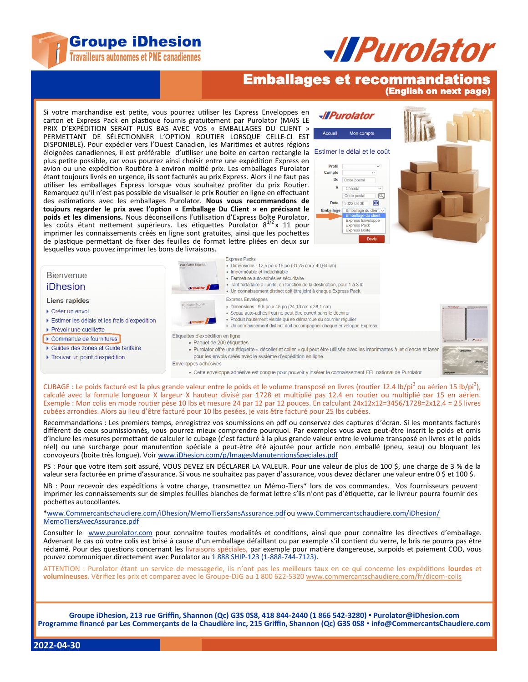



## Emballages et recommandations

(English on next page)

Si votre marchandise est petite, vous pourrez utiliser les Express Enveloppes en carton et Express Pack en plastique fournis gratuitement par Purolator (MAIS LE PRIX D'EXPÉDITION SERAIT PLUS BAS AVEC VOS « EMBALLAGES DU CLIENT » PERMETTANT DE SÉLECTIONNER L'OPTION ROUTIER LORSQUE CELLE-CI EST DISPONIBLE). Pour expédier vers l'Ouest Canadien, les Maritimes et autres régions éloignées canadiennes, il est préférable d'utiliser une boite en carton rectangle la Estimer le délai et le coût plus petite possible, car vous pourrez ainsi choisir entre une expédition Express en avion ou une expédition Routière à environ moitié prix. Les emballages Purolator étant toujours livrés en urgence, ils sont facturés au prix Express. Alors il ne faut pas utiliser les emballages Express lorsque vous souhaitez profiter du prix Routier. Remarquez qu'il n'est pas possible de visualiser le prix Routier en ligne en effectuant des estimations avec les emballages Purolator. **Nous vous recommandons de toujours regarder le prix avec l'option « Emballage Du Client » en précisant le poids et les dimensions.** Nous déconseillons l'utilisation d'Express Boîte Purolator, les coûts étant nettement supérieurs. Les étiquettes Purolator  $8^{1/2}x$  11 pour imprimer les connaissements créés en ligne sont gratuites, ainsi que les pochettes de plastique permettant de fixer des feuilles de format lettre pliées en deux sur lesquelles vous pouvez imprimer les bons de livraisons.





**Express Packs** 

CUBAGE : Le poids facturé est la plus grande valeur entre le poids et le volume transposé en livres (routier 12.4 lb/pi<sup>3</sup> ou aérien 15 lb/pi<sup>3</sup>), calculé avec la formule longueur X largeur X hauteur divisé par 1728 et multiplié pas 12.4 en routier ou multiplié par 15 en aérien. Exemple : Mon colis en mode routier pèse 10 lbs et mesure 24 par 12 par 12 pouces. En calculant 24x12x12=3456/1728=2x12.4 = 25 livres cubées arrondies. Alors au lieu d'être facturé pour 10 lbs pesées, je vais être facturé pour 25 lbs cubées.

Recommandations : Les premiers temps, enregistrez vos soumissions en pdf ou conservez des captures d'écran. Si les montants facturés diffèrent de ceux soumissionnés, vous pourrez mieux comprendre pourquoi. Par exemples vous avez peut-être inscrit le poids et omis d'inclure les mesures permettant de calculer le cubage (c'est facturé à la plus grande valeur entre le volume transposé en livres et le poids réel) ou une surcharge pour manutention spéciale a peut-être été ajoutée pour article non emballé (pneu, seau) ou bloquant les convoyeurs (boite très longue). Voir [www.iDhesion.com/p/ImagesManutentionsSpeciales.pdf](http://www.iDhesion.com/p/ImagesManutentionsSpeciales.pdf)

PS : Pour que votre item soit assuré, VOUS DEVEZ EN DÉCLARER LA VALEUR. Pour une valeur de plus de 100 \$, une charge de 3 % de la valeur sera facturée en prime d'assurance. Si vous ne souhaitez pas payer d'assurance, vous devez déclarer une valeur entre 0 \$ et 100 \$.

NB : Pour recevoir des expéditions à votre charge, transmettez un Mémo-Tiers\* lors de vos commandes. Vos fournisseurs peuvent imprimer les connaissements sur de simples feuilles blanches de format lettre s'ils n'ont pas d'étiquette, car le livreur pourra fournir des pochettes autocollantes.

\*[www.Commercantschaudiere.com/iDhesion/MemoTiersSansAssurance.pdf](http://www.Commercantschaudiere.com/iDhesion/MemoTiersSansAssurance.pdf) ou [www.Commercantschaudiere.com/iDhesion/](http://www.Commercantschaudiere.com/iDhesion/MemoTiersAvecAssurance.pdf) [MemoTiersAvecAssurance.pdf](http://www.Commercantschaudiere.com/iDhesion/MemoTiersAvecAssurance.pdf)

Consulter le [www.purolator.com](http://www.purolator.com) pour connaitre toutes modalités et conditions, ainsi que pour connaitre les directives d'emballage. Advenant le cas où votre colis est brisé à cause d'un emballage défaillant ou par exemple s'il contient du verre, le bris ne pourra pas être réclamé. Pour des questions concernant les livraisons spéciales, par exemple pour matière dangereuse, surpoids et paiement COD, vous pouvez communiquer directement avec Purolator au 1 888 SHIP-123 (1-888-744-7123).

ATTENTION : Purolator étant un service de messagerie, ils n'ont pas les meilleurs taux en ce qui concerne les expéditions **lourdes** et **volumineuses**. Vérifiez les prix et comparez avec le Groupe-DJG au 1 800 622-5320 [www.commercantschaudiere.com/fr/dicom](http://www.commercantschaudiere.com/fr/dicom-colis)-colis

**Groupe iDhesion, 213 rue Griffin, Shannon (Qc) G3S 0S8, 418 844-2440 (1 866 542-3280) ▪ Purolator@iDhesion.com Programme financé par Les Commerçants de la Chaudière inc, 215 Griffin, Shannon (Qc) G3S 0S8 ▪ info@CommercantsChaudiere.com**

**2022-04-30**